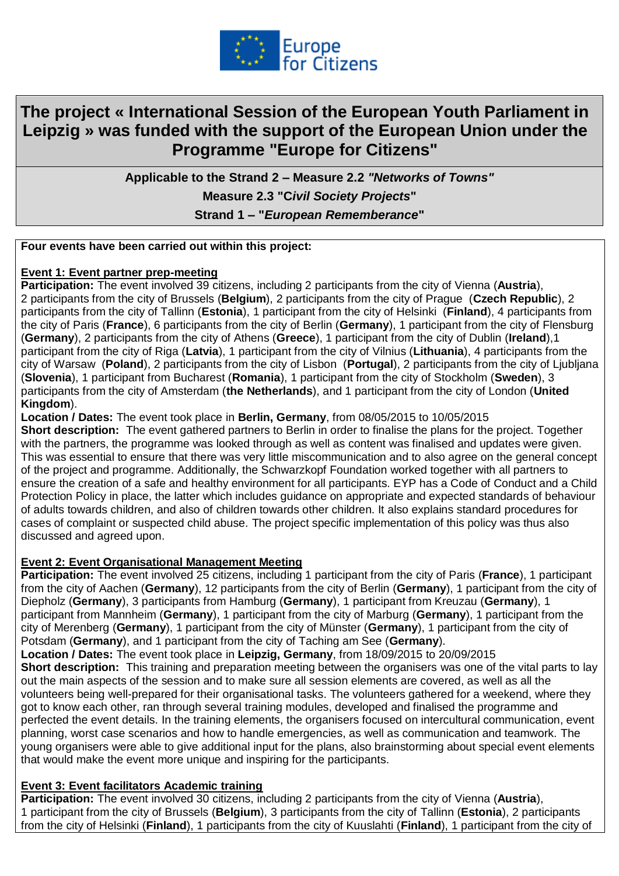

# **The project « International Session of the European Youth Parliament in Leipzig » was funded with the support of the European Union under the Programme "Europe for Citizens"**

**Applicable to the Strand 2 – Measure 2.2** *"Networks of Towns"* **Measure 2.3 "C***ivil Society Projects***" Strand 1 – "***European Rememberance***"**

## **Four events have been carried out within this project:**

### **Event 1: Event partner prep-meeting**

**Participation:** The event involved 39 citizens, including 2 participants from the city of Vienna (**Austria**), 2 participants from the city of Brussels (**Belgium**), 2 participants from the city of Prague (**Czech Republic**), 2 participants from the city of Tallinn (**Estonia**), 1 participant from the city of Helsinki (**Finland**), 4 participants from the city of Paris (**France**), 6 participants from the city of Berlin (**Germany**), 1 participant from the city of Flensburg (**Germany**), 2 participants from the city of Athens (**Greece**), 1 participant from the city of Dublin (**Ireland**),1 participant from the city of Riga (**Latvia**), 1 participant from the city of Vilnius (**Lithuania**), 4 participants from the city of Warsaw (**Poland**), 2 participants from the city of Lisbon (**Portugal**), 2 participants from the city of Ljubljana (**Slovenia**), 1 participant from Bucharest (**Romania**), 1 participant from the city of Stockholm (**Sweden**), 3 participants from the city of Amsterdam (**the Netherlands**), and 1 participant from the city of London (**United Kingdom**).

### **Location / Dates:** The event took place in **Berlin, Germany**, from 08/05/2015 to 10/05/2015

**Short description:** The event gathered partners to Berlin in order to finalise the plans for the project. Together with the partners, the programme was looked through as well as content was finalised and updates were given. This was essential to ensure that there was very little miscommunication and to also agree on the general concept of the project and programme. Additionally, the Schwarzkopf Foundation worked together with all partners to ensure the creation of a safe and healthy environment for all participants. EYP has a Code of Conduct and a Child Protection Policy in place, the latter which includes guidance on appropriate and expected standards of behaviour of adults towards children, and also of children towards other children. It also explains standard procedures for cases of complaint or suspected child abuse. The project specific implementation of this policy was thus also discussed and agreed upon.

#### **Event 2: Event Organisational Management Meeting**

**Participation:** The event involved 25 citizens, including 1 participant from the city of Paris (**France**), 1 participant from the city of Aachen (**Germany**), 12 participants from the city of Berlin (**Germany**), 1 participant from the city of Diepholz (**Germany**), 3 participants from Hamburg (**Germany**), 1 participant from Kreuzau (**Germany**), 1 participant from Mannheim (**Germany**), 1 participant from the city of Marburg (**Germany**), 1 participant from the city of Merenberg (**Germany**), 1 participant from the city of Münster (**Germany**), 1 participant from the city of Potsdam (**Germany**), and 1 participant from the city of Taching am See (**Germany**).

**Location / Dates:** The event took place in **Leipzig, Germany**, from 18/09/2015 to 20/09/2015

**Short description:** This training and preparation meeting between the organisers was one of the vital parts to lay out the main aspects of the session and to make sure all session elements are covered, as well as all the volunteers being well-prepared for their organisational tasks. The volunteers gathered for a weekend, where they got to know each other, ran through several training modules, developed and finalised the programme and perfected the event details. In the training elements, the organisers focused on intercultural communication, event planning, worst case scenarios and how to handle emergencies, as well as communication and teamwork. The young organisers were able to give additional input for the plans, also brainstorming about special event elements that would make the event more unique and inspiring for the participants.

## **Event 3: Event facilitators Academic training**

**Participation:** The event involved 30 citizens, including 2 participants from the city of Vienna (**Austria**), 1 participant from the city of Brussels (**Belgium**), 3 participants from the city of Tallinn (**Estonia**), 2 participants from the city of Helsinki (**Finland**), 1 participants from the city of Kuuslahti (**Finland**), 1 participant from the city of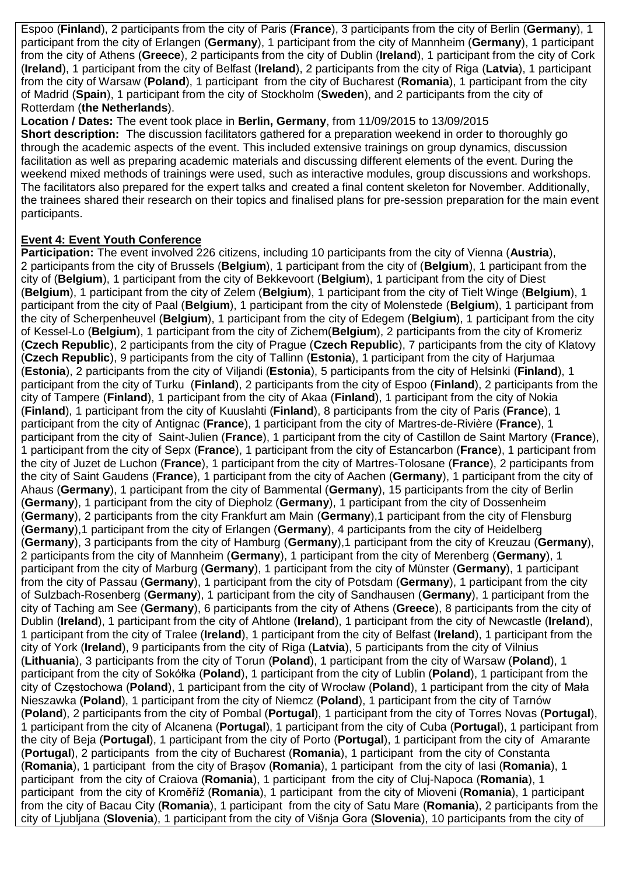Espoo (**Finland**), 2 participants from the city of Paris (**France**), 3 participants from the city of Berlin (**Germany**), 1 participant from the city of Erlangen (**Germany**), 1 participant from the city of Mannheim (**Germany**), 1 participant from the city of Athens (**Greece**), 2 participants from the city of Dublin (**Ireland**), 1 participant from the city of Cork (**Ireland**), 1 participant from the city of Belfast (**Ireland**), 2 participants from the city of Riga (**Latvia**), 1 participant from the city of Warsaw (**Poland**), 1 participant from the city of Bucharest (**Romania**), 1 participant from the city of Madrid (**Spain**), 1 participant from the city of Stockholm (**Sweden**), and 2 participants from the city of Rotterdam (**the Netherlands**).

**Location / Dates:** The event took place in **Berlin, Germany**, from 11/09/2015 to 13/09/2015 **Short description:** The discussion facilitators gathered for a preparation weekend in order to thoroughly go through the academic aspects of the event. This included extensive trainings on group dynamics, discussion facilitation as well as preparing academic materials and discussing different elements of the event. During the weekend mixed methods of trainings were used, such as interactive modules, group discussions and workshops. The facilitators also prepared for the expert talks and created a final content skeleton for November. Additionally, the trainees shared their research on their topics and finalised plans for pre-session preparation for the main event participants.

## **Event 4: Event Youth Conference**

**Participation:** The event involved 226 citizens, including 10 participants from the city of Vienna (**Austria**), 2 participants from the city of Brussels (**Belgium**), 1 participant from the city of (**Belgium**), 1 participant from the city of (**Belgium**), 1 participant from the city of Bekkevoort (**Belgium**), 1 participant from the city of Diest (**Belgium**), 1 participant from the city of Zelem (**Belgium**), 1 participant from the city of Tielt Winge (**Belgium**), 1 participant from the city of Paal (**Belgium**), 1 participant from the city of Molenstede (**Belgium**), 1 participant from the city of Scherpenheuvel (**Belgium**), 1 participant from the city of Edegem (**Belgium**), 1 participant from the city of Kessel-Lo (**Belgium**), 1 participant from the city of Zichem(**Belgium**), 2 participants from the city of Kromeriz (**Czech Republic**), 2 participants from the city of Prague (**Czech Republic**), 7 participants from the city of Klatovy (**Czech Republic**), 9 participants from the city of Tallinn (**Estonia**), 1 participant from the city of Harjumaa (**Estonia**), 2 participants from the city of Viljandi (**Estonia**), 5 participants from the city of Helsinki (**Finland**), 1 participant from the city of Turku (**Finland**), 2 participants from the city of Espoo (**Finland**), 2 participants from the city of Tampere (**Finland**), 1 participant from the city of Akaa (**Finland**), 1 participant from the city of Nokia (**Finland**), 1 participant from the city of Kuuslahti (**Finland**), 8 participants from the city of Paris (**France**), 1 participant from the city of Antignac (**France**), 1 participant from the city of Martres-de-Rivière (**France**), 1 participant from the city of Saint-Julien (**France**), 1 participant from the city of Castillon de Saint Martory (**France**), 1 participant from the city of Sepx (**France**), 1 participant from the city of Estancarbon (**France**), 1 participant from the city of Juzet de Luchon (**France**), 1 participant from the city of Martres-Tolosane (**France**), 2 participants from the city of Saint Gaudens (**France**), 1 participant from the city of Aachen (**Germany**), 1 participant from the city of Ahaus (**Germany**), 1 participant from the city of Bammental (**Germany**), 15 participants from the city of Berlin (**Germany**), 1 participant from the city of Diepholz (**Germany**), 1 participant from the city of Dossenheim (**Germany**), 2 participants from the city Frankfurt am Main (**Germany**),1 participant from the city of Flensburg (**Germany**),1 participant from the city of Erlangen (**Germany**), 4 participants from the city of Heidelberg (**Germany**), 3 participants from the city of Hamburg (**Germany**),1 participant from the city of Kreuzau (**Germany**), 2 participants from the city of Mannheim (**Germany**), 1 participant from the city of Merenberg (**Germany**), 1 participant from the city of Marburg (**Germany**), 1 participant from the city of Münster (**Germany**), 1 participant from the city of Passau (**Germany**), 1 participant from the city of Potsdam (**Germany**), 1 participant from the city of Sulzbach-Rosenberg (**Germany**), 1 participant from the city of Sandhausen (**Germany**), 1 participant from the city of Taching am See (**Germany**), 6 participants from the city of Athens (**Greece**), 8 participants from the city of Dublin (**Ireland**), 1 participant from the city of Ahtlone (**Ireland**), 1 participant from the city of Newcastle (**Ireland**), 1 participant from the city of Tralee (**Ireland**), 1 participant from the city of Belfast (**Ireland**), 1 participant from the city of York (**Ireland**), 9 participants from the city of Riga (**Latvia**), 5 participants from the city of Vilnius (**Lithuania**), 3 participants from the city of Torun (**Poland**), 1 participant from the city of Warsaw (**Poland**), 1 participant from the city of Sokółka (**Poland**), 1 participant from the city of Lublin (**Poland**), 1 participant from the city of Częstochowa (**Poland**), 1 participant from the city of Wrocław (**Poland**), 1 participant from the city of Mała Nieszawka (**Poland**), 1 participant from the city of Niemcz (**Poland**), 1 participant from the city of Tarnów (**Poland**), 2 participants from the city of Pombal (**Portugal**), 1 participant from the city of Torres Novas (**Portugal**), 1 participant from the city of Alcanena (**Portugal**), 1 participant from the city of Cuba (**Portugal**), 1 participant from the city of Beja (**Portugal**), 1 participant from the city of Porto (**Portugal**), 1 participant from the city of Amarante (**Portugal**), 2 participants from the city of Bucharest (**Romania**), 1 participant from the city of Constanta (**Romania**), 1 participant from the city of Brașov (**Romania**), 1 participant from the city of Iasi (**Romania**), 1 participant from the city of Craiova (**Romania**), 1 participant from the city of Cluj-Napoca (**Romania**), 1 participant from the city of Kroměříž (**Romania**), 1 participant from the city of Mioveni (**Romania**), 1 participant from the city of Bacau City (**Romania**), 1 participant from the city of Satu Mare (**Romania**), 2 participants from the city of Ljubljana (**Slovenia**), 1 participant from the city of Višnja Gora (**Slovenia**), 10 participants from the city of